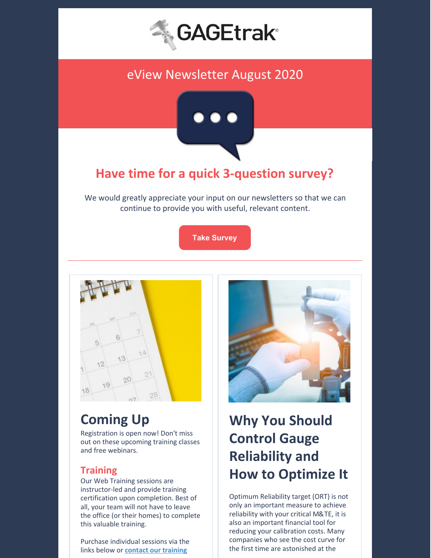

## eView Newsletter August 2020



## **Have time for a quick 3-question survey?**

We would greatly appreciate your input on our newsletters so that we can continue to provide you with useful, relevant content.

**Take [Survey](https://gagetrak.com/gagetrak-survey/)**



# **Coming Up**

Registration is open now! Don't miss out on these upcoming training classes and free webinars.

### **Training**

Our Web Training sessions are instructor-led and provide training certification upon completion. Best of all, your team will not have to leave the office (or their homes) to complete this valuable training.

Purchase individual sessions via the links below or **contact our [training](mailto:training@cybermetrics.com)**



# **Why You Should Control Gauge Reliability and How to Optimize It**

Optimum Reliability target (ORT) is not only an important measure to achieve reliability with your critical M&TE, it is also an important financial tool for reducing your calibration costs. Many companies who see the cost curve for the first time are astonished at the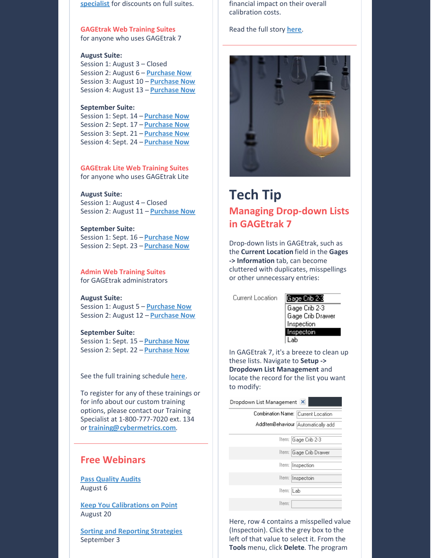**specialist** for discounts on full suites.

**GAGEtrak Web Training Suites** for anyone who uses GAGEtrak 7

#### **August Suite:**

Session 1: August 3 – Closed Session 2: August 6 – **[Purchase](https://attendee.gototraining.com/r/7313382208268476674) Now** Session 3: August 10 – **[Purchase](https://attendee.gototraining.com/r/8952085542212858882) Now** Session 4: August 13 – **[Purchase](https://attendee.gototraining.com/r/1595367589972951298) Now**

#### **September Suite:**

Session 1: Sept. 14 – **[Purchase](https://attendee.gototraining.com/r/2939555740410769409) Now** Session 2: Sept. 17 – **[Purchase](https://attendee.gototraining.com/r/7626000852945556481) Now** Session 3: Sept. 21 – **[Purchase](https://attendee.gototraining.com/r/2492483317441030402) Now** Session 4: Sept. 24 – **[Purchase](https://attendee.gototraining.com/r/3223801486423700482) Now**

**GAGEtrak Lite Web Training Suites** for anyone who uses GAGEtrak Lite

#### **August Suite:**

Session 1: August 4 – Closed Session 2: August 11 – **[Purchase](https://attendee.gototraining.com/r/7532213610121371649) Now**

#### **September Suite:**

Session 1: Sept. 16 – **[Purchase](https://attendee.gototraining.com/r/6232464422740096002) Now** Session 2: Sept. 23 – **[Purchase](https://attendee.gototraining.com/r/5105360550665164546) Now**

**Admin Web Training Suites** for GAGEtrak administrators

#### **August Suite:**

Session 1: August 5 – **[Purchase](https://attendee.gototraining.com/r/2818458827774027521) Now** Session 2: August 12 – **[Purchase](https://attendee.gototraining.com/r/2317531225763964673) Now**

#### **September Suite:**

Session 1: Sept. 15 – **[Purchase](https://attendee.gototraining.com/r/1653752758029855746) Now** Session 2: Sept. 22 – **[Purchase](https://attendee.gototraining.com/r/5957166502354461442) Now**

See the full training schedule **[here](https://gagetrak.com/training-schedule/)**.

To register for any of these trainings or for info about our custom training options, please contact our Training Specialist at 1-800-777-7020 ext. 134 or **[training@cybermetrics.com](mailto:training@cybermetrics.com)**.

### **Free Webinars**

**Pass [Quality](https://attendee.gotowebinar.com/register/1148148931402499599) Audits** August 6

**Keep You [Calibrations](https://attendee.gotowebinar.com/register/5452772139739555854) on Point** August 20

**Sorting and [Reporting](https://attendee.gotowebinar.com/register/7859537122243592206) Strategies** September 3

financial impact on their overall calibration costs.

#### Read the full story **[here](https://gagetrak.com/why-you-should-control-gauge-reliability-and-how-to-optimize-it/)**.



## **Tech Tip Managing Drop-down Lists in GAGEtrak 7**

Drop-down lists in GAGEtrak, such as the **Current Location** field in the **Gages -> Information** tab, can become cluttered with duplicates, misspellings or other unnecessary entries:

Current Location

#### Gage Crib 2-3



In GAGEtrak 7, it's a breeze to clean up these lists. Navigate to **Setup -> Dropdown List Management** and locate the record for the list you want to modify:

| Dropdown List Management X         |  |  |  |
|------------------------------------|--|--|--|
| Combination Name: Current Location |  |  |  |
| AddItemBehaviour Automatically add |  |  |  |
| Item:  Gage Crib 2-3               |  |  |  |
| Item:  Gage Crib Drawer            |  |  |  |
| Item:  Inspection                  |  |  |  |
| Item:  Inspectoin                  |  |  |  |
| Item: ILab                         |  |  |  |
| Item:                              |  |  |  |

Here, row 4 contains a misspelled value (Inspectoin). Click the grey box to the left of that value to select it. From the **Tools** menu, click **Delete**. The program